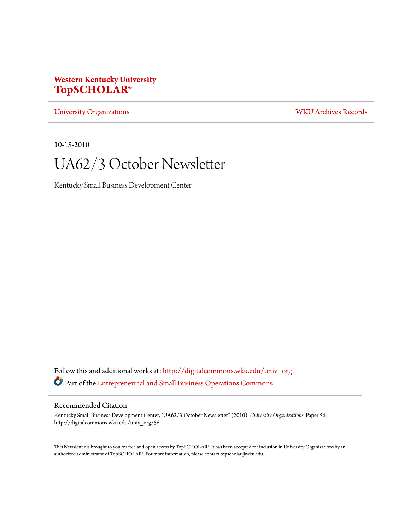# **Western Kentucky University [TopSCHOLAR®](http://digitalcommons.wku.edu?utm_source=digitalcommons.wku.edu%2Funiv_org%2F56&utm_medium=PDF&utm_campaign=PDFCoverPages)**

[University Organizations](http://digitalcommons.wku.edu/univ_org?utm_source=digitalcommons.wku.edu%2Funiv_org%2F56&utm_medium=PDF&utm_campaign=PDFCoverPages) [WKU Archives Records](http://digitalcommons.wku.edu/dlsc_ua_records?utm_source=digitalcommons.wku.edu%2Funiv_org%2F56&utm_medium=PDF&utm_campaign=PDFCoverPages)

10-15-2010

# UA62/3 October Newsletter

Kentucky Small Business Development Center

Follow this and additional works at: [http://digitalcommons.wku.edu/univ\\_org](http://digitalcommons.wku.edu/univ_org?utm_source=digitalcommons.wku.edu%2Funiv_org%2F56&utm_medium=PDF&utm_campaign=PDFCoverPages) Part of the [Entrepreneurial and Small Business Operations Commons](http://network.bepress.com/hgg/discipline/630?utm_source=digitalcommons.wku.edu%2Funiv_org%2F56&utm_medium=PDF&utm_campaign=PDFCoverPages)

#### Recommended Citation

Kentucky Small Business Development Center, "UA62/3 October Newsletter" (2010). *University Organizations.* Paper 56. http://digitalcommons.wku.edu/univ\_org/56

This Newsletter is brought to you for free and open access by TopSCHOLAR®. It has been accepted for inclusion in University Organizations by an authorized administrator of TopSCHOLAR®. For more information, please contact topscholar@wku.edu.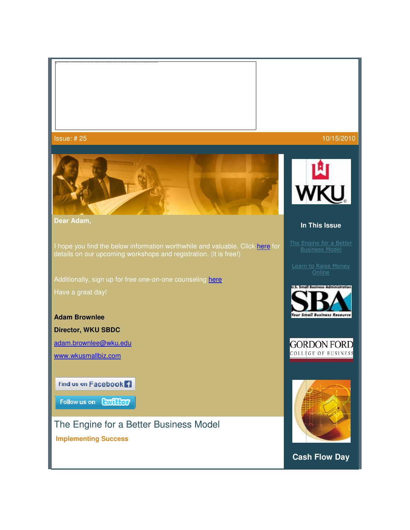Issue: # 25

The insee names in displayed. Your computer may not have mount memory in each thinges, or the insee may have been convented, finish over computer and then countries the analy. If the red is allow you may have to down to di



**Dear Adam,**

I hope you find the below information worthwhile and valuable. Click here for details on our upcoming workshops and registration. (it is free!)

Additionally, sign up for free one-on-one counseling here.

Have a great day!

**Adam Brownlee**

**Director, WKU SBDC**

adam.brownlee@wku.edu

www.wkusmallbiz.com

Find us on Facebook<sup>1</sup>

Follow us on Conflicer

The Engine for a Better Business Model

 **Implementing Success**



10/15/2010



#### **In This Issue**

<u>The Engine for a Better</u> <u>The Engine for a Bet</u><br><u>Business Model</u>

Learn to Raise Money<br>| Online







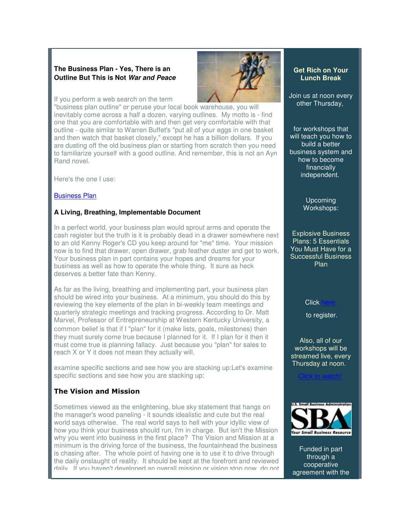#### **The Business Plan - Yes, There is an Outline But This is Not War and Peace**

If you perform a web search on the term

"business plan outline" or peruse your local book warehouse, you will inevitably come across a half a dozen, varying outlines. My motto is - find one that you are comfortable with and then get very comfortable with that outline - quite similar to Warren Buffet's "put all of your eggs in one basket and then watch that basket closely," except he has a billion dollars. If you are dusting off the old business plan or starting from scratch then you need to familiarize yourself with a good outline. And remember, this is not an Ayn Rand novel.

Here's the one I use:

#### Business Plan

#### **A Living, Breathing, Implementable Document**

In a perfect world, your business plan would sprout arms and operate the cash register but the truth is it is probably dead in a drawer somewhere next to an old Kenny Roger's CD you keep around for "me" time. Your mission now is to find that drawer, open drawer, grab feather duster and get to work. Your business plan in part contains your hopes and dreams for your business as well as how to operate the whole thing. It sure as heck deserves a better fate than Kenny.

As far as the living, breathing and implementing part, your business plan should be wired into your business. At a minimum, you should do this by reviewing the key elements of the plan in bi-weekly team meetings and quarterly strategic meetings and tracking progress. According to Dr. Matt Marvel, Professor of Entrepreneurship at Western Kentucky University, a common belief is that if I "plan" for it (make lists, goals, milestones) then they must surely come true because I planned for it. If I plan for it then it must come true is planning fallacy. Just because you "plan" for sales to reach X or Y it does not mean they actually will.

examine specific sections and see how you are stacking up:Let's examine specific sections and see how you are stacking up:

### The Vision and Mission

Sometimes viewed as the enlightening, blue sky statement that hangs on the manager's wood paneling - it sounds idealistic and cute but the real world says otherwise. The real world says to hell with your idyllic view of how you think your business should run, I'm in charge. But isn't the Mission why you went into business in the first place? The Vision and Mission at a minimum is the driving force of the business, the fountainhead the business is chasing after. The whole point of having one is to use it to drive through the daily onslaught of reality. It should be kept at the forefront and reviewed daily. If you haven't developed an overall mission or vision stop now, do not



#### **Get Rich on Your Lunch Break**

Join us at noon every other Thursday,

for workshops that will teach you how to build a better business system and how to become financially independent.

> Upcoming Workshops:

Explosive Business Plans: 5 Essentials You Must Have for a Successful Business Plan

Click

to register.

Also, all of our workshops will be streamed live, every Thursday at noon.

Click to watch!



Funded in part through a cooperative agreement with the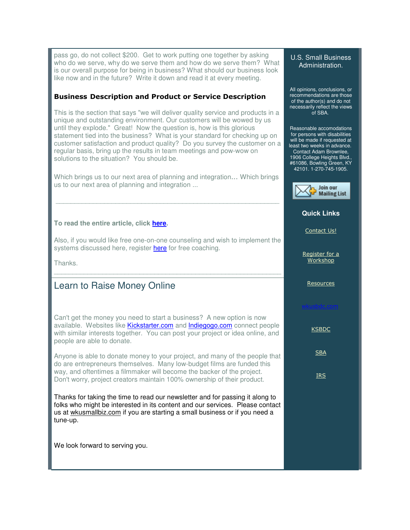pass go, do not collect \$200. Get to work putting one together by asking who do we serve, why do we serve them and how do we serve them? What is our overall purpose for being in business? What should our business look like now and in the future? Write it down and read it at every meeting.

#### Business Description and Product or Service Description

This is the section that says "we will deliver quality service and products in a unique and outstanding environment. Our customers will be wowed by us until they explode." Great! Now the question is, how is this glorious statement tied into the business? What is your standard for checking up on customer satisfaction and product quality? Do you survey the customer on a regular basis, bring up the results in team meetings and pow-wow on solutions to the situation? You should be.

Which brings us to our next area of planning and integration... Which brings us to our next area of planning and integration ...

#### **To read the entire article, click here.**

Also, if you would like free one-on-one counseling and wish to implement the systems discussed here, register here for free coaching.

\_\_\_\_\_\_\_\_\_\_\_\_\_\_\_\_\_\_\_\_\_\_\_\_\_\_\_\_\_\_\_\_\_\_\_\_\_\_\_\_\_\_\_\_\_\_\_\_\_\_\_\_\_\_\_\_\_\_\_\_\_

Thanks.

## Learn to Raise Money Online

Can't get the money you need to start a business? A new option is now available. Websites like Kickstarter.com and Indiegogo.com connect people with similar interests together. You can post your project or idea online, and people are able to donate.

Anyone is able to donate money to your project, and many of the people that do are entrepreneurs themselves. Many low-budget films are funded this way, and oftentimes a filmmaker will become the backer of the project. Don't worry, project creators maintain 100% ownership of their product.

Thanks for taking the time to read our newsletter and for passing it along to folks who might be interested in its content and our services. Please contact us at wkusmallbiz.com if you are starting a small business or if you need a tune-up.

We look forward to serving you.

#### U.S. Small Business Administration.

All opinions, conclusions, or recommendations are those of the author(s) and do not necessarily reflect the views of SBA.

Reasonable accomodations for persons with disabilities will be made if requested at least two weeks in advance. Contact Adam Brownlee, 1906 College Heights Blvd., #61086, Bowling Green, KY 42101. 1-270-745-1905.



#### **Quick Links**

Contact Us!

Register for a Workshop

Resources

**KSBDC** 

**SBA** 

IRS